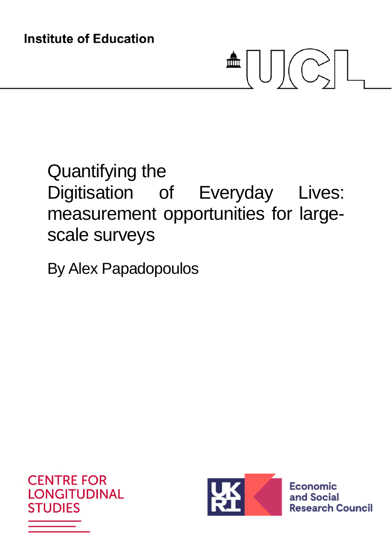# $\triangleq \bigcup \bigcup \bigcup \bigcup \bigcup$

## Quantifying the Digitisation of Everyday Lives: measurement opportunities for largescale surveys

By Alex Papadopoulos





**Economic** and Social **Research Council**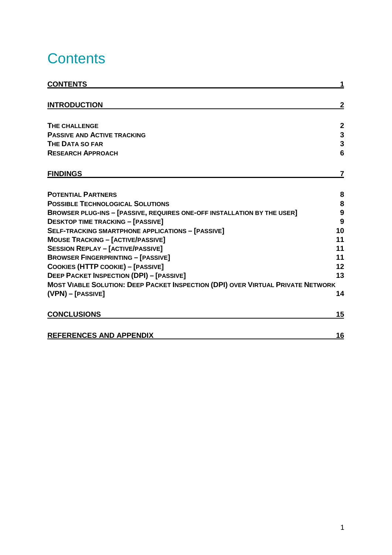## **Contents**

| <b>CONTENTS</b>                                                                        |                         |
|----------------------------------------------------------------------------------------|-------------------------|
| <b>INTRODUCTION</b>                                                                    | $\mathbf{2}$            |
|                                                                                        |                         |
| <b>THE CHALLENGE</b>                                                                   | $\boldsymbol{2}$        |
| <b>PASSIVE AND ACTIVE TRACKING</b>                                                     | $\overline{\mathbf{3}}$ |
| <b>THE DATA SO FAR</b>                                                                 | $\mathbf 3$             |
| <b>RESEARCH APPROACH</b>                                                               | 6                       |
| <b>FINDINGS</b>                                                                        | 7                       |
| <b>POTENTIAL PARTNERS</b>                                                              | 8                       |
| <b>POSSIBLE TECHNOLOGICAL SOLUTIONS</b>                                                | 8                       |
| BROWSER PLUG-INS - [PASSIVE, REQUIRES ONE-OFF INSTALLATION BY THE USER]                | 9                       |
| <b>DESKTOP TIME TRACKING - [PASSIVE]</b>                                               | 9                       |
| <b>SELF-TRACKING SMARTPHONE APPLICATIONS - [PASSIVE]</b>                               | 10                      |
| <b>MOUSE TRACKING - [ACTIVE/PASSIVE]</b>                                               | 11                      |
| <b>SESSION REPLAY - [ACTIVE/PASSIVE]</b>                                               | 11                      |
| <b>BROWSER FINGERPRINTING - [PASSIVE]</b>                                              | 11                      |
| COOKIES (HTTP COOKIE) - [PASSIVE]                                                      | 12                      |
| <b>DEEP PACKET INSPECTION (DPI) - [PASSIVE]</b>                                        | 13                      |
| <b>MOST VIABLE SOLUTION: DEEP PACKET INSPECTION (DPI) OVER VIRTUAL PRIVATE NETWORK</b> |                         |
| (VPN) - [PASSIVE]                                                                      | 14                      |
| <b>CONCLUSIONS</b>                                                                     | 15                      |
| <b>REFERENCES AND APPENDIX</b>                                                         | 16                      |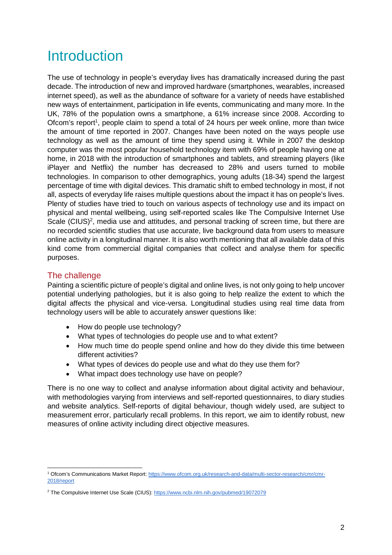### **Introduction**

The use of technology in people's everyday lives has dramatically increased during the past decade. The introduction of new and improved hardware (smartphones, wearables, increased internet speed), as well as the abundance of software for a variety of needs have established new ways of entertainment, participation in life events, communicating and many more. In the UK, 78% of the population owns a smartphone, a 61% increase since 2008. According to Ofcom's report<sup>1</sup>, people claim to spend a total of 24 hours per week online, more than twice the amount of time reported in 2007. Changes have been noted on the ways people use technology as well as the amount of time they spend using it. While in 2007 the desktop computer was the most popular household technology item with 69% of people having one at home, in 2018 with the introduction of smartphones and tablets, and streaming players (like iPlayer and Netflix) the number has decreased to 28% and users turned to mobile technologies. In comparison to other demographics, young adults (18-34) spend the largest percentage of time with digital devices. This dramatic shift to embed technology in most, if not all, aspects of everyday life raises multiple questions about the impact it has on people's lives. Plenty of studies have tried to touch on various aspects of technology use and its impact on physical and mental wellbeing, using self-reported scales like The Compulsive Internet Use Scale (CIUS)<sup>2</sup>, media use and attitudes, and personal tracking of screen time, but there are no recorded scientific studies that use accurate, live background data from users to measure online activity in a longitudinal manner. It is also worth mentioning that all available data of this kind come from commercial digital companies that collect and analyse them for specific purposes.

#### The challenge

Painting a scientific picture of people's digital and online lives, is not only going to help uncover potential underlying pathologies, but it is also going to help realize the extent to which the digital affects the physical and vice-versa. Longitudinal studies using real time data from technology users will be able to accurately answer questions like:

- How do people use technology?
- What types of technologies do people use and to what extent?
- How much time do people spend online and how do they divide this time between different activities?
- What types of devices do people use and what do they use them for?
- What impact does technology use have on people?

There is no one way to collect and analyse information about digital activity and behaviour, with methodologies varying from interviews and self-reported questionnaires, to diary studies and website analytics. Self-reports of digital behaviour, though widely used, are subject to measurement error, particularly recall problems. In this report, we aim to identify robust, new measures of online activity including direct objective measures.

<sup>&</sup>lt;sup>1</sup> Ofcom's Communications Market Report: https://www.ofcom.org.uk/research-and-data/multi-sector-research/cmr/cmr-2018/report

<sup>&</sup>lt;sup>2</sup> The Compulsive Internet Use Scale (CIUS): https://www.ncbi.nlm.nih.gov/pubmed/19072079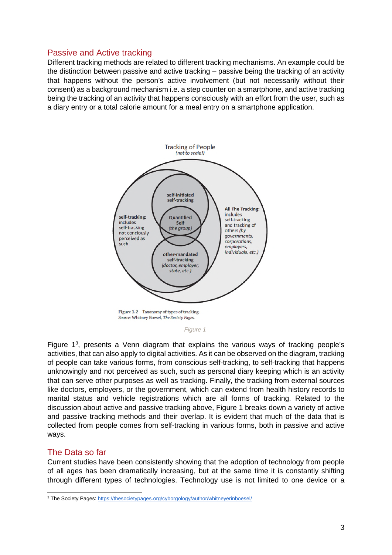#### Passive and Active tracking

Different tracking methods are related to different tracking mechanisms. An example could be the distinction between passive and active tracking – passive being the tracking of an activity that happens without the person's active involvement (but not necessarily without their consent) as a background mechanism i.e. a step counter on a smartphone, and active tracking being the tracking of an activity that happens consciously with an effort from the user, such as a diary entry or a total calorie amount for a meal entry on a smartphone application.



*Figure 1*

Figure  $1^3$ , presents a Venn diagram that explains the various ways of tracking people's activities, that can also apply to digital activities. As it can be observed on the diagram, tracking of people can take various forms, from conscious self-tracking, to self-tracking that happens unknowingly and not perceived as such, such as personal diary keeping which is an activity that can serve other purposes as well as tracking. Finally, the tracking from external sources like doctors, employers, or the government, which can extend from health history records to marital status and vehicle registrations which are all forms of tracking. Related to the discussion about active and passive tracking above, Figure 1 breaks down a variety of active and passive tracking methods and their overlap. It is evident that much of the data that is collected from people comes from self-tracking in various forms, both in passive and active ways.

#### The Data so far

Current studies have been consistently showing that the adoption of technology from people of all ages has been dramatically increasing, but at the same time it is constantly shifting through different types of technologies. Technology use is not limited to one device or a

<sup>&</sup>lt;sup>3</sup> The Society Pages: https://thesocietypages.org/cyborgology/author/whitneyerinboesel/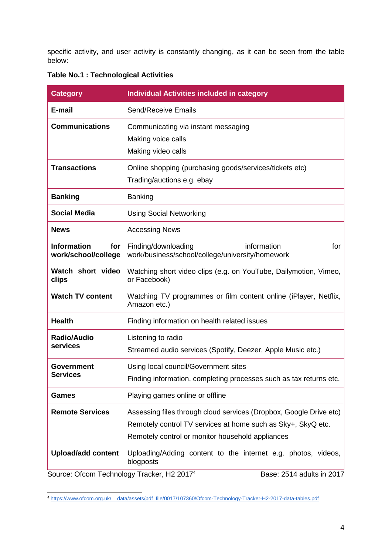specific activity, and user activity is constantly changing, as it can be seen from the table below:

|  |  | Table No.1 : Technological Activities |  |
|--|--|---------------------------------------|--|
|--|--|---------------------------------------|--|

| <b>Category</b>                                        | <b>Individual Activities included in category</b>                                                                                                                                      |  |
|--------------------------------------------------------|----------------------------------------------------------------------------------------------------------------------------------------------------------------------------------------|--|
| E-mail                                                 | Send/Receive Emails                                                                                                                                                                    |  |
| <b>Communications</b>                                  | Communicating via instant messaging<br>Making voice calls<br>Making video calls                                                                                                        |  |
| <b>Transactions</b>                                    | Online shopping (purchasing goods/services/tickets etc)<br>Trading/auctions e.g. ebay                                                                                                  |  |
| <b>Banking</b>                                         | <b>Banking</b>                                                                                                                                                                         |  |
| <b>Social Media</b>                                    | <b>Using Social Networking</b>                                                                                                                                                         |  |
| <b>News</b>                                            | <b>Accessing News</b>                                                                                                                                                                  |  |
| <b>Information</b><br>for<br>work/school/college       | information<br>Finding/downloading<br>for<br>work/business/school/college/university/homework                                                                                          |  |
| Watch short video<br>clips                             | Watching short video clips (e.g. on YouTube, Dailymotion, Vimeo,<br>or Facebook)                                                                                                       |  |
| <b>Watch TV content</b>                                | Watching TV programmes or film content online (iPlayer, Netflix,<br>Amazon etc.)                                                                                                       |  |
| <b>Health</b>                                          | Finding information on health related issues                                                                                                                                           |  |
| <b>Radio/Audio</b><br>services                         | Listening to radio<br>Streamed audio services (Spotify, Deezer, Apple Music etc.)                                                                                                      |  |
| Government<br><b>Services</b>                          | Using local council/Government sites<br>Finding information, completing processes such as tax returns etc.                                                                             |  |
| Games                                                  | Playing games online or offline                                                                                                                                                        |  |
| <b>Remote Services</b>                                 | Assessing files through cloud services (Dropbox, Google Drive etc)<br>Remotely control TV services at home such as Sky+, SkyQ etc.<br>Remotely control or monitor household appliances |  |
| <b>Upload/add content</b>                              | Uploading/Adding content to the internet e.g. photos, videos,<br>blogposts                                                                                                             |  |
| Source: Ofcom Technology Tracker, H2 2017 <sup>4</sup> | Base: 2514 adults in 2017                                                                                                                                                              |  |

<sup>4</sup> https://www.ofcom.org.uk/\_\_data/assets/pdf\_file/0017/107360/Ofcom-Technology-Tracker-H2-2017-data-tables.pdf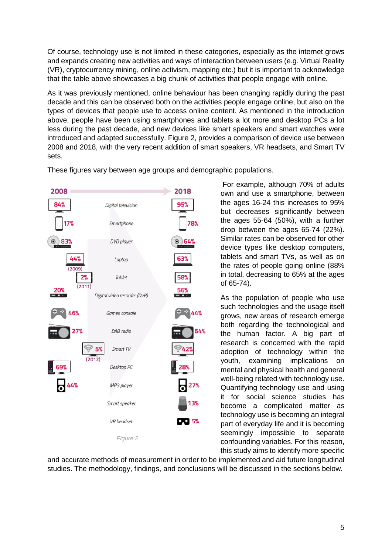Of course, technology use is not limited in these categories, especially as the internet grows and expands creating new activities and ways of interaction between users (e.g. Virtual Reality (VR), cryptocurrency mining, online activism, mapping etc.) but it is important to acknowledge that the table above showcases a big chunk of activities that people engage with online.

As it was previously mentioned, online behaviour has been changing rapidly during the past decade and this can be observed both on the activities people engage online, but also on the types of devices that people use to access online content. As mentioned in the introduction above, people have been using smartphones and tablets a lot more and desktop PCs a lot less during the past decade, and new devices like smart speakers and smart watches were introduced and adapted successfully. Figure 2, provides a comparison of device use between 2008 and 2018, with the very recent addition of smart speakers, VR headsets, and Smart TV sets.



These figures vary between age groups and demographic populations.

 For example, although 70% of adults own and use a smartphone, between the ages 16-24 this increases to 95% but decreases significantly between the ages 55-64 (50%), with a further drop between the ages 65-74 (22%). Similar rates can be observed for other device types like desktop computers, tablets and smart TVs, as well as on the rates of people going online (88% in total, decreasing to 65% at the ages of 65-74).

As the population of people who use such technologies and the usage itself grows, new areas of research emerge both regarding the technological and the human factor. A big part of research is concerned with the rapid adoption of technology within the youth, examining implications on mental and physical health and general well-being related with technology use. Quantifying technology use and using it for social science studies has become a complicated matter as technology use is becoming an integral part of everyday life and it is becoming seemingly impossible to separate confounding variables. For this reason, this study aims to identify more specific

and accurate methods of measurement in order to be implemented and aid future longitudinal studies. The methodology, findings, and conclusions will be discussed in the sections below.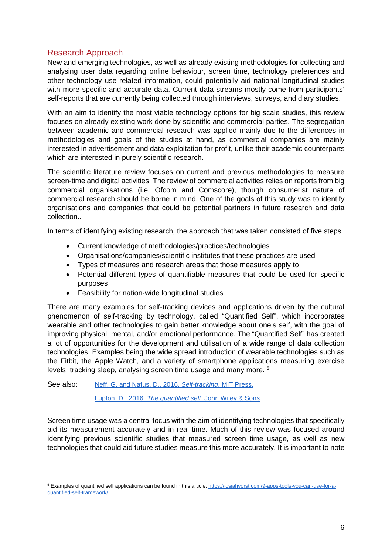#### Research Approach

New and emerging technologies, as well as already existing methodologies for collecting and analysing user data regarding online behaviour, screen time, technology preferences and other technology use related information, could potentially aid national longitudinal studies with more specific and accurate data. Current data streams mostly come from participants' self-reports that are currently being collected through interviews, surveys, and diary studies.

With an aim to identify the most viable technology options for big scale studies, this review focuses on already existing work done by scientific and commercial parties. The segregation between academic and commercial research was applied mainly due to the differences in methodologies and goals of the studies at hand, as commercial companies are mainly interested in advertisement and data exploitation for profit, unlike their academic counterparts which are interested in purely scientific research.

The scientific literature review focuses on current and previous methodologies to measure screen-time and digital activities. The review of commercial activities relies on reports from big commercial organisations (i.e. Ofcom and Comscore), though consumerist nature of commercial research should be borne in mind. One of the goals of this study was to identify organisations and companies that could be potential partners in future research and data collection..

In terms of identifying existing research, the approach that was taken consisted of five steps:

- Current knowledge of methodologies/practices/technologies
- Organisations/companies/scientific institutes that these practices are used
- Types of measures and research areas that those measures apply to
- Potential different types of quantifiable measures that could be used for specific purposes
- Feasibility for nation-wide longitudinal studies

There are many examples for self-tracking devices and applications driven by the cultural phenomenon of self-tracking by technology, called "Quantified Self", which incorporates wearable and other technologies to gain better knowledge about one's self, with the goal of improving physical, mental, and/or emotional performance. The "Quantified Self" has created a lot of opportunities for the development and utilisation of a wide range of data collection technologies. Examples being the wide spread introduction of wearable technologies such as the Fitbit, the Apple Watch, and a variety of smartphone applications measuring exercise levels, tracking sleep, analysing screen time usage and many more.<sup>5</sup>

See also: Neff, G. and Nafus, D., 2016. *Self-tracking*. MIT Press.

Lupton, D., 2016. *The quantified self*. John Wiley & Sons.

Screen time usage was a central focus with the aim of identifying technologies that specifically aid its measurement accurately and in real time. Much of this review was focused around identifying previous scientific studies that measured screen time usage, as well as new technologies that could aid future studies measure this more accurately. It is important to note

<sup>5</sup> Examples of quantified self applications can be found in this article: https://josiahvorst.com/9-apps-tools-you-can-use-for-aquantified-self-framework/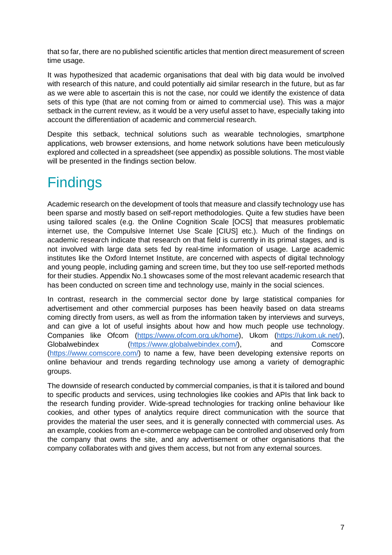that so far, there are no published scientific articles that mention direct measurement of screen time usage.

It was hypothesized that academic organisations that deal with big data would be involved with research of this nature, and could potentially aid similar research in the future, but as far as we were able to ascertain this is not the case, nor could we identify the existence of data sets of this type (that are not coming from or aimed to commercial use). This was a major setback in the current review, as it would be a very useful asset to have, especially taking into account the differentiation of academic and commercial research.

Despite this setback, technical solutions such as wearable technologies, smartphone applications, web browser extensions, and home network solutions have been meticulously explored and collected in a spreadsheet (see appendix) as possible solutions. The most viable will be presented in the findings section below.

## **Findings**

Academic research on the development of tools that measure and classify technology use has been sparse and mostly based on self-report methodologies. Quite a few studies have been using tailored scales (e.g. the Online Cognition Scale [OCS] that measures problematic internet use, the Compulsive Internet Use Scale [CIUS] etc.). Much of the findings on academic research indicate that research on that field is currently in its primal stages, and is not involved with large data sets fed by real-time information of usage. Large academic institutes like the Oxford Internet Institute, are concerned with aspects of digital technology and young people, including gaming and screen time, but they too use self-reported methods for their studies. Appendix No.1 showcases some of the most relevant academic research that has been conducted on screen time and technology use, mainly in the social sciences.

In contrast, research in the commercial sector done by large statistical companies for advertisement and other commercial purposes has been heavily based on data streams coming directly from users, as well as from the information taken by interviews and surveys, and can give a lot of useful insights about how and how much people use technology. Companies like Ofcom (https://www.ofcom.org.uk/home), Ukom (https://ukom.uk.net/), Globalwebindex (https://www.globalwebindex.com/), and Comscore (https://www.comscore.com/) to name a few, have been developing extensive reports on online behaviour and trends regarding technology use among a variety of demographic groups.

The downside of research conducted by commercial companies, is that it is tailored and bound to specific products and services, using technologies like cookies and APIs that link back to the research funding provider. Wide-spread technologies for tracking online behaviour like cookies, and other types of analytics require direct communication with the source that provides the material the user sees, and it is generally connected with commercial uses. As an example, cookies from an e-commerce webpage can be controlled and observed only from the company that owns the site, and any advertisement or other organisations that the company collaborates with and gives them access, but not from any external sources.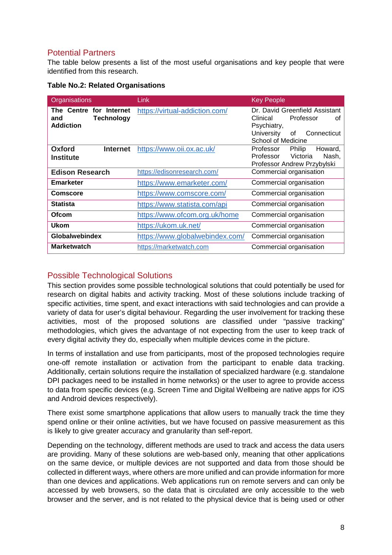#### Potential Partners

The table below presents a list of the most useful organisations and key people that were identified from this research.

| Organisations                                                           | Link                            | <b>Key People</b>                                                                                                                     |
|-------------------------------------------------------------------------|---------------------------------|---------------------------------------------------------------------------------------------------------------------------------------|
| The Centre for Internet<br><b>Technology</b><br>and<br><b>Addiction</b> | https://virtual-addiction.com/  | Dr. David Greenfield Assistant<br>Professor<br>Clinical<br>οf<br>Psychiatry,<br>University<br>Connecticut<br>0f<br>School of Medicine |
| Oxford<br><b>Internet</b><br><b>Institute</b>                           | https://www.oii.ox.ac.uk/       | Professor<br><b>Philip</b><br>Howard,<br>Victoria<br>Nash,<br>Professor<br>Professor Andrew Przybylski                                |
| <b>Edison Research</b>                                                  | https://edisonresearch.com/     | Commercial organisation                                                                                                               |
| <b>Emarketer</b>                                                        | https://www.emarketer.com/      | Commercial organisation                                                                                                               |
| <b>Comscore</b>                                                         | https://www.comscore.com/       | Commercial organisation                                                                                                               |
| <b>Statista</b>                                                         | https://www.statista.com/api    | Commercial organisation                                                                                                               |
| <b>Ofcom</b>                                                            | https://www.ofcom.org.uk/home   | Commercial organisation                                                                                                               |
| Ukom                                                                    | https://ukom.uk.net/            | Commercial organisation                                                                                                               |
| <b>Globalwebindex</b>                                                   | https://www.globalwebindex.com/ | Commercial organisation                                                                                                               |
| <b>Marketwatch</b>                                                      | https://marketwatch.com         | Commercial organisation                                                                                                               |

#### **Table No.2: Related Organisations**

#### Possible Technological Solutions

This section provides some possible technological solutions that could potentially be used for research on digital habits and activity tracking. Most of these solutions include tracking of specific activities, time spent, and exact interactions with said technologies and can provide a variety of data for user's digital behaviour. Regarding the user involvement for tracking these activities, most of the proposed solutions are classified under "passive tracking" methodologies, which gives the advantage of not expecting from the user to keep track of every digital activity they do, especially when multiple devices come in the picture.

In terms of installation and use from participants, most of the proposed technologies require one-off remote installation or activation from the participant to enable data tracking. Additionally, certain solutions require the installation of specialized hardware (e.g. standalone DPI packages need to be installed in home networks) or the user to agree to provide access to data from specific devices (e.g. Screen Time and Digital Wellbeing are native apps for iOS and Android devices respectively).

There exist some smartphone applications that allow users to manually track the time they spend online or their online activities, but we have focused on passive measurement as this is likely to give greater accuracy and granularity than self-report.

Depending on the technology, different methods are used to track and access the data users are providing. Many of these solutions are web-based only, meaning that other applications on the same device, or multiple devices are not supported and data from those should be collected in different ways, where others are more unified and can provide information for more than one devices and applications. Web applications run on remote servers and can only be accessed by web browsers, so the data that is circulated are only accessible to the web browser and the server, and is not related to the physical device that is being used or other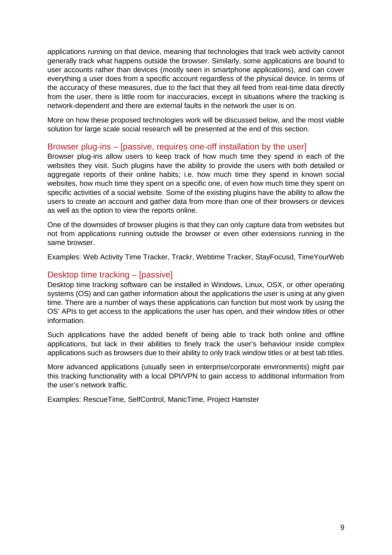applications running on that device, meaning that technologies that track web activity cannot generally track what happens outside the browser. Similarly, some applications are bound to user accounts rather than devices (mostly seen in smartphone applications), and can cover everything a user does from a specific account regardless of the physical device. In terms of the accuracy of these measures, due to the fact that they all feed from real-time data directly from the user, there is little room for inaccuracies, except in situations where the tracking is network-dependent and there are external faults in the network the user is on.

More on how these proposed technologies work will be discussed below, and the most viable solution for large scale social research will be presented at the end of this section.

#### Browser plug-ins – [passive, requires one-off installation by the user]

Browser plug-ins allow users to keep track of how much time they spend in each of the websites they visit. Such plugins have the ability to provide the users with both detailed or aggregate reports of their online habits; i.e. how much time they spend in known social websites, how much time they spent on a specific one, of even how much time they spent on specific activities of a social website. Some of the existing plugins have the ability to allow the users to create an account and gather data from more than one of their browsers or devices as well as the option to view the reports online.

One of the downsides of browser plugins is that they can only capture data from websites but not from applications running outside the browser or even other extensions running in the same browser.

Examples: Web Activity Time Tracker, Trackr, Webtime Tracker, StayFocusd, TimeYourWeb

#### Desktop time tracking – [passive]

Desktop time tracking software can be installed in Windows, Linux, OSX, or other operating systems (OS) and can gather information about the applications the user is using at any given time. There are a number of ways these applications can function but most work by using the OS' APIs to get access to the applications the user has open, and their window titles or other information.

Such applications have the added benefit of being able to track both online and offline applications, but lack in their abilities to finely track the user's behaviour inside complex applications such as browsers due to their ability to only track window titles or at best tab titles.

More advanced applications (usually seen in enterprise/corporate environments) might pair this tracking functionality with a local DPI/VPN to gain access to additional information from the user's network traffic.

Examples: RescueTime, SelfControl, ManicTime, Project Hamster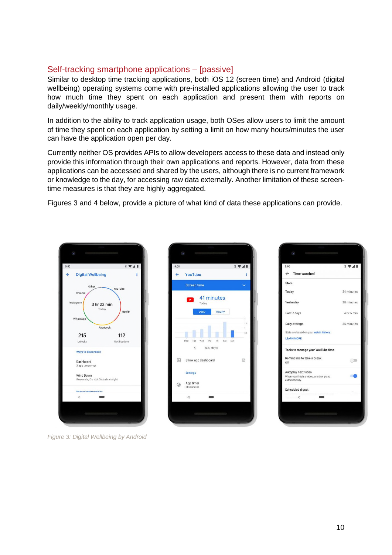#### Self-tracking smartphone applications – [passive]

Similar to desktop time tracking applications, both iOS 12 (screen time) and Android (digital wellbeing) operating systems come with pre-installed applications allowing the user to track how much time they spent on each application and present them with reports on daily/weekly/monthly usage.

In addition to the ability to track application usage, both OSes allow users to limit the amount of time they spent on each application by setting a limit on how many hours/minutes the user can have the application open per day.

Currently neither OS provides APIs to allow developers access to these data and instead only provide this information through their own applications and reports. However, data from these applications can be accessed and shared by the users, although there is no current framework or knowledge to the day, for accessing raw data externally. Another limitation of these screentime measures is that they are highly aggregated.

Figures 3 and 4 below, provide a picture of what kind of data these applications can provide.



*Figure 3: Digital Wellbeing by Android* 



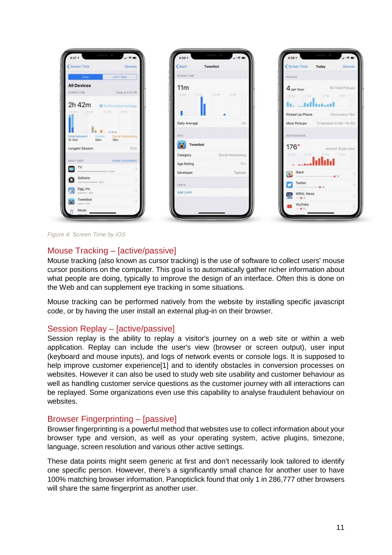| Screen Time                                    | Devices                              | EBack            | Tweetbot                   | <screen th="" time<=""><th>Today<br/>Devices</th></screen>                       | Today<br>Devices                    |
|------------------------------------------------|--------------------------------------|------------------|----------------------------|----------------------------------------------------------------------------------|-------------------------------------|
| <b>The Today</b>                               | Last 7 Days                          | SCREEN TIME      |                            | PICKUPS                                                                          |                                     |
| <b>All Devices</b>                             |                                      | 11m              |                            |                                                                                  | 4 per hour 65 Total Pickups         |
| <b>SCREEN TIME</b>                             | Today at 4:02 PM                     | 32. AM           | EAM E2PM<br>LE PM          |                                                                                  | 12 AM 8 AM 12 PM 8 PM               |
| 2h 42m                                         | O 1h 14m below average               |                  |                            | h. "albaad                                                                       |                                     |
| 12 AM GAM TOPM KPM                             |                                      |                  |                            |                                                                                  | Picked Up Phone Once every 15m      |
|                                                |                                      | Daily Average    | 1m                         |                                                                                  | Most Pickups 11 between 9 AM-10 AM  |
|                                                |                                      | INFO             |                            | NOTIFICATIONS                                                                    |                                     |
| Games<br><b>Entertainment</b><br>58m<br>1h 10m | Social Networking<br>18 <sub>m</sub> |                  |                            |                                                                                  |                                     |
| Longest Session                                | $-57m$                               | Tweetbot         |                            |                                                                                  | 176 <sup>*</sup> Around 10 per hour |
| MOST USED<br>SHOW CATEGORIES                   |                                      |                  | Category Social Networking |                                                                                  | 12 AM 12 6 6PM                      |
| $\blacksquare$                                 |                                      | Age Rating       | $17+$                      | <b>Shakes</b> and the little                                                     |                                     |
| 53m                                            |                                      | Developer        | Tapbots                    | S Slack                                                                          | $\bullet$ 78                        |
| Solitaire                                      |                                      | LIMITS           |                            | Twitter                                                                          |                                     |
| Egg, Inc.                                      |                                      | <b>Add Limit</b> |                            | <b>WRAL News</b><br><b>MAL</b><br><b>MAL</b><br><b>C</b><br><b>C</b><br><b>C</b> | 6.49                                |
| Tweetbot                                       |                                      |                  |                            | YouTube                                                                          |                                     |

*Figure 4: Screen Time by iOS* 

#### Mouse Tracking – [active/passive]

Mouse tracking (also known as cursor tracking) is the use of software to collect users' mouse cursor positions on the computer. This goal is to automatically gather richer information about what people are doing, typically to improve the design of an interface. Often this is done on the Web and can supplement eye tracking in some situations.

Mouse tracking can be performed natively from the website by installing specific javascript code, or by having the user install an external plug-in on their browser.

#### Session Replay – [active/passive]

Session replay is the ability to replay a visitor's journey on a web site or within a web application. Replay can include the user's view (browser or screen output), user input (keyboard and mouse inputs), and logs of network events or console logs. It is supposed to help improve customer experience<sup>[1]</sup> and to identify obstacles in conversion processes on websites. However it can also be used to study web site usability and customer behaviour as well as handling customer service questions as the customer journey with all interactions can be replayed. Some organizations even use this capability to analyse fraudulent behaviour on websites.

#### Browser Fingerprinting – [passive]

Browser fingerprinting is a powerful method that websites use to collect information about your browser type and version, as well as your operating system, active plugins, timezone, language, screen resolution and various other active settings.

These data points might seem generic at first and don't necessarily look tailored to identify one specific person. However, there's a significantly small chance for another user to have 100% matching browser information. Panopticlick found that only 1 in 286,777 other browsers will share the same fingerprint as another user.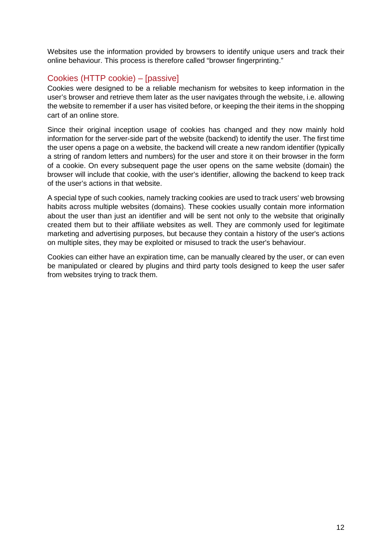Websites use the information provided by browsers to identify unique users and track their online behaviour. This process is therefore called "browser fingerprinting."

#### Cookies (HTTP cookie) – [passive]

Cookies were designed to be a reliable mechanism for websites to keep information in the user's browser and retrieve them later as the user navigates through the website, i.e. allowing the website to remember if a user has visited before, or keeping the their items in the shopping cart of an online store.

Since their original inception usage of cookies has changed and they now mainly hold information for the server-side part of the website (backend) to identify the user. The first time the user opens a page on a website, the backend will create a new random identifier (typically a string of random letters and numbers) for the user and store it on their browser in the form of a cookie. On every subsequent page the user opens on the same website (domain) the browser will include that cookie, with the user's identifier, allowing the backend to keep track of the user's actions in that website.

A special type of such cookies, namely tracking cookies are used to track users' web browsing habits across multiple websites (domains). These cookies usually contain more information about the user than just an identifier and will be sent not only to the website that originally created them but to their affiliate websites as well. They are commonly used for legitimate marketing and advertising purposes, but because they contain a history of the user's actions on multiple sites, they may be exploited or misused to track the user's behaviour.

Cookies can either have an expiration time, can be manually cleared by the user, or can even be manipulated or cleared by plugins and third party tools designed to keep the user safer from websites trying to track them.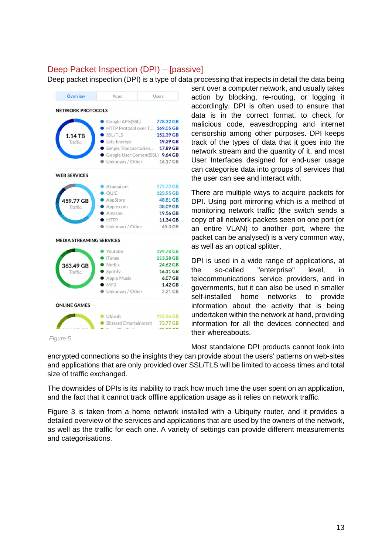#### Deep Packet Inspection (DPI) – [passive]

Deep packet inspection (DPI) is a type of data processing that inspects in detail the data being



*Figure 5*

sent over a computer network, and usually takes action by blocking, re-routing, or logging it accordingly. DPI is often used to ensure that data is in the correct format, to check for malicious code, eavesdropping and internet censorship among other purposes. DPI keeps track of the types of data that it goes into the network stream and the quantity of it, and most User Interfaces designed for end-user usage can categorise data into groups of services that the user can see and interact with.

There are multiple ways to acquire packets for DPI. Using port mirroring which is a method of monitoring network traffic (the switch sends a copy of all network packets seen on one port (or an entire VLAN) to another port, where the packet can be analysed) is a very common way, as well as an optical splitter.

DPI is used in a wide range of applications, at the so-called "enterprise" level, in telecommunications service providers, and in governments, but it can also be used in smaller self-installed home networks to provide information about the activity that is being undertaken within the network at hand, providing information for all the devices connected and their whereabouts.

Most standalone DPI products cannot look into

encrypted connections so the insights they can provide about the users' patterns on web-sites and applications that are only provided over SSL/TLS will be limited to access times and total size of traffic exchanged.

The downsides of DPIs is its inability to track how much time the user spent on an application, and the fact that it cannot track offline application usage as it relies on network traffic.

Figure 3 is taken from a home network installed with a Ubiquity router, and it provides a detailed overview of the services and applications that are used by the owners of the network, as well as the traffic for each one. A variety of settings can provide different measurements and categorisations.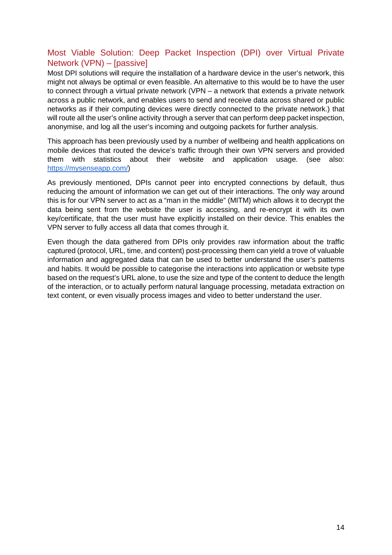#### Most Viable Solution: Deep Packet Inspection (DPI) over Virtual Private Network (VPN) – [passive]

Most DPI solutions will require the installation of a hardware device in the user's network, this might not always be optimal or even feasible. An alternative to this would be to have the user to connect through a virtual private network (VPN – a network that extends a private network across a public network, and enables users to send and receive data across shared or public networks as if their computing devices were directly connected to the private network.) that will route all the user's online activity through a server that can perform deep packet inspection, anonymise, and log all the user's incoming and outgoing packets for further analysis.

This approach has been previously used by a number of wellbeing and health applications on mobile devices that routed the device's traffic through their own VPN servers and provided them with statistics about their website and application usage. (see also: https://mysenseapp.com/)

As previously mentioned, DPIs cannot peer into encrypted connections by default, thus reducing the amount of information we can get out of their interactions. The only way around this is for our VPN server to act as a "man in the middle" (MITM) which allows it to decrypt the data being sent from the website the user is accessing, and re-encrypt it with its own key/certificate, that the user must have explicitly installed on their device. This enables the VPN server to fully access all data that comes through it.

Even though the data gathered from DPIs only provides raw information about the traffic captured (protocol, URL, time, and content) post-processing them can yield a trove of valuable information and aggregated data that can be used to better understand the user's patterns and habits. It would be possible to categorise the interactions into application or website type based on the request's URL alone, to use the size and type of the content to deduce the length of the interaction, or to actually perform natural language processing, metadata extraction on text content, or even visually process images and video to better understand the user.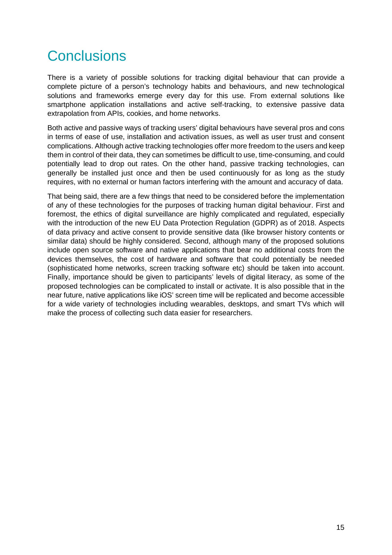## **Conclusions**

There is a variety of possible solutions for tracking digital behaviour that can provide a complete picture of a person's technology habits and behaviours, and new technological solutions and frameworks emerge every day for this use. From external solutions like smartphone application installations and active self-tracking, to extensive passive data extrapolation from APIs, cookies, and home networks.

Both active and passive ways of tracking users' digital behaviours have several pros and cons in terms of ease of use, installation and activation issues, as well as user trust and consent complications. Although active tracking technologies offer more freedom to the users and keep them in control of their data, they can sometimes be difficult to use, time-consuming, and could potentially lead to drop out rates. On the other hand, passive tracking technologies, can generally be installed just once and then be used continuously for as long as the study requires, with no external or human factors interfering with the amount and accuracy of data.

That being said, there are a few things that need to be considered before the implementation of any of these technologies for the purposes of tracking human digital behaviour. First and foremost, the ethics of digital surveillance are highly complicated and regulated, especially with the introduction of the new EU Data Protection Regulation (GDPR) as of 2018. Aspects of data privacy and active consent to provide sensitive data (like browser history contents or similar data) should be highly considered. Second, although many of the proposed solutions include open source software and native applications that bear no additional costs from the devices themselves, the cost of hardware and software that could potentially be needed (sophisticated home networks, screen tracking software etc) should be taken into account. Finally, importance should be given to participants' levels of digital literacy, as some of the proposed technologies can be complicated to install or activate. It is also possible that in the near future, native applications like iOS' screen time will be replicated and become accessible for a wide variety of technologies including wearables, desktops, and smart TVs which will make the process of collecting such data easier for researchers.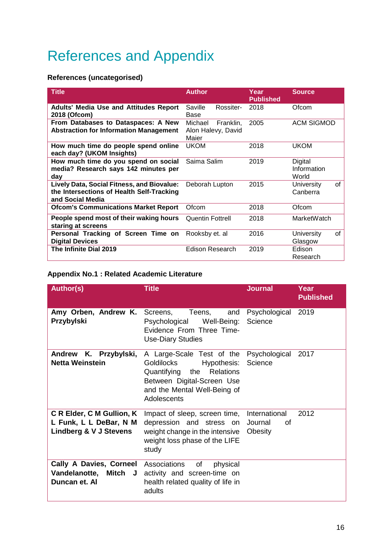## References and Appendix

#### **References (uncategorised)**

| <b>Title</b>                                                                                                | <b>Author</b>                                       | Year<br><b>Published</b> | <b>Source</b>                   |
|-------------------------------------------------------------------------------------------------------------|-----------------------------------------------------|--------------------------|---------------------------------|
| <b>Adults' Media Use and Attitudes Report</b><br>2018 (Ofcom)                                               | Saville<br>Rossiter-<br>Base                        | 2018                     | Ofcom                           |
| From Databases to Dataspaces: A New<br><b>Abstraction for Information Management</b>                        | Michael<br>Franklin,<br>Alon Halevy, David<br>Maier | 2005                     | <b>ACM SIGMOD</b>               |
| How much time do people spend online<br>each day? (UKOM Insights)                                           | <b>UKOM</b>                                         | 2018                     | <b>UKOM</b>                     |
| How much time do you spend on social<br>media? Research says 142 minutes per<br>day                         | Saima Salim                                         | 2019                     | Digital<br>Information<br>World |
| Lively Data, Social Fitness, and Biovalue:<br>the Intersections of Health Self-Tracking<br>and Social Media | Deborah Lupton                                      | 2015                     | of<br>University<br>Canberra    |
| <b>Ofcom's Communications Market Report</b>                                                                 | Ofcom                                               | 2018                     | Ofcom                           |
| People spend most of their waking hours<br>staring at screens                                               | <b>Quentin Fottrell</b>                             | 2018                     | MarketWatch                     |
| Personal Tracking of Screen Time on<br><b>Digital Devices</b>                                               | Rooksby et. al                                      | 2016                     | of<br>University<br>Glasgow     |
| The Infinite Dial 2019                                                                                      | <b>Edison Research</b>                              | 2019                     | Edison<br>Research              |

#### **Appendix No.1 : Related Academic Literature**

| <b>Author(s)</b>                                                                  | <b>Title</b>                                                                                                                                                                                            | <b>Journal</b>                            | Year<br><b>Published</b> |
|-----------------------------------------------------------------------------------|---------------------------------------------------------------------------------------------------------------------------------------------------------------------------------------------------------|-------------------------------------------|--------------------------|
| Przybylski                                                                        | <b>Amy Orben, Andrew K.</b> Screens, Teens, and<br>Psychological Well-Being:<br>Evidence From Three Time-<br><b>Use-Diary Studies</b>                                                                   | Psychological 2019<br>Science             |                          |
| K. Przybylski,<br><b>Andrew</b><br><b>Netta Weinstein</b>                         | A Large-Scale Test of the Psychological 2017<br><b>Goldilocks</b><br>Hypothesis:<br>Quantifying<br>the<br><b>Relations</b><br>Between Digital-Screen Use<br>and the Mental Well-Being of<br>Adolescents | Science                                   |                          |
| C R Elder, C M Gullion, K<br>L Funk, L L DeBar, N M<br>Lindberg & V J Stevens     | Impact of sleep, screen time,<br>depression and stress on<br>weight change in the intensive<br>weight loss phase of the LIFE<br>study                                                                   | International<br>Journal<br>οf<br>Obesity | 2012                     |
| Cally A Davies, Corneel Associations<br>Vandelanotte,<br>Mitch J<br>Duncan et. Al | of<br>physical<br>activity and screen-time on<br>health related quality of life in<br>adults                                                                                                            |                                           |                          |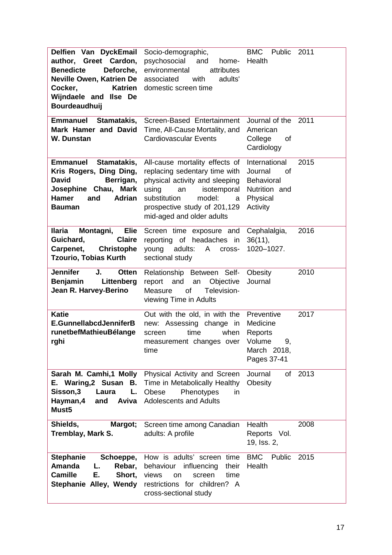| Delfien Van DyckEmail<br>author, Greet Cardon,<br>Deforche,<br><b>Benedicte</b><br>Neville Owen, Katrien De<br><b>Katrien</b><br>Cocker,<br>Wijndaele and Ilse De<br><b>Bourdeaudhuij</b> | Socio-demographic,<br>psychosocial<br>and<br>home-<br>environmental<br>attributes<br>associated<br>adults'<br>with<br>domestic screen time                                                                                  | <b>BMC</b><br>Public<br>Health                                                               | 2011    |
|-------------------------------------------------------------------------------------------------------------------------------------------------------------------------------------------|-----------------------------------------------------------------------------------------------------------------------------------------------------------------------------------------------------------------------------|----------------------------------------------------------------------------------------------|---------|
| <b>Emmanuel</b><br>Stamatakis,<br>Mark Hamer and David<br>W. Dunstan                                                                                                                      | Screen-Based Entertainment<br>Time, All-Cause Mortality, and<br><b>Cardiovascular Events</b>                                                                                                                                | Journal of the 2011<br>American<br>College<br>οf<br>Cardiology                               |         |
| <b>Emmanuel</b><br>Stamatakis,<br>Kris Rogers, Ding Ding,<br><b>David</b><br>Berrigan,<br>Josephine Chau, Mark<br><b>Hamer</b><br><b>Adrian</b><br>and<br><b>Bauman</b>                   | All-cause mortality effects of<br>replacing sedentary time with<br>physical activity and sleeping<br>using<br>isotemporal<br>an<br>substitution<br>model:<br>a<br>prospective study of 201,129<br>mid-aged and older adults | International<br>Journal<br>οf<br><b>Behavioral</b><br>Nutrition and<br>Physical<br>Activity | 2015    |
| <b>Ilaria</b><br>Montagni,<br>Elie<br><b>Claire</b><br>Guichard,<br>Carpenet,<br><b>Christophe</b><br><b>Tzourio, Tobias Kurth</b>                                                        | Screen time exposure and<br>reporting of headaches<br>in<br>young<br>adults:<br>A<br>cross-<br>sectional study                                                                                                              | Cephalalgia,<br>36(11),<br>1020-1027.                                                        | 2016    |
| <b>Jennifer</b><br>J.<br><b>Otten</b><br>Littenberg<br><b>Benjamin</b><br>Jean R. Harvey-Berino                                                                                           | Relationship Between Self-<br>Objective<br>report<br>and<br>an<br>of<br>Television-<br>Measure<br>viewing Time in Adults                                                                                                    | Obesity<br>Journal                                                                           | 2010    |
| <b>Katie</b><br>E.GunnellabcdJenniferB<br>runetbefMathieuBélange<br>rghi                                                                                                                  | Out with the old, in with the<br>new: Assessing change in<br>time<br>when<br>screen<br>measurement changes over Volume<br>time                                                                                              | Preventive<br>Medicine<br>Reports<br>9,<br>March 2018,<br>Pages 37-41                        | 2017    |
| E. Waring, 2 Susan<br>В.<br>Sisson,3<br>Laura<br>L.<br>Hayman, 4<br>and<br>Aviva<br>Must <sub>5</sub>                                                                                     | Sarah M. Camhi,1 Molly Physical Activity and Screen<br>Time in Metabolically Healthy<br>Obese<br>Phenotypes<br>in<br><b>Adolescents and Adults</b>                                                                          | Journal<br>Obesity                                                                           | of 2013 |
| Shields,<br>Margot;<br><b>Tremblay, Mark S.</b>                                                                                                                                           | Screen time among Canadian<br>adults: A profile                                                                                                                                                                             | Health<br>Reports Vol.<br>19, Iss. 2,                                                        | 2008    |
| <b>Stephanie</b><br>Schoeppe,<br>Amanda<br>Rebar,<br>L.<br><b>Camille</b><br>Е.<br>Short,<br>Stephanie Alley, Wendy                                                                       | How is adults' screen time<br>behaviour influencing<br>their<br>time<br>views<br>screen<br><b>on</b><br>restrictions for children? A<br>cross-sectional study                                                               | <b>BMC</b> Public<br>Health                                                                  | 2015    |